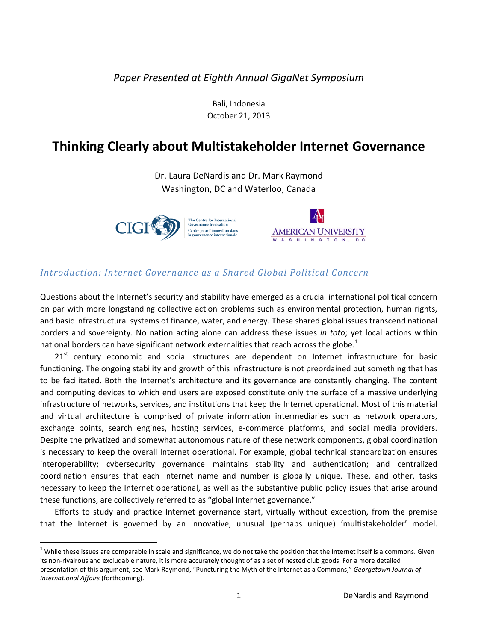# *Paper Presented at Eighth Annual GigaNet Symposium*

Bali, Indonesia October 21, 2013

# **Thinking Clearly about Multistakeholder Internet Governance**

Dr. Laura DeNardis and Dr. Mark Raymond Washington, DC and Waterloo, Canada



## *Introduction: Internet Governance as a Shared Global Political Concern*

Questions about the Internet's security and stability have emerged as a crucial international political concern on par with more longstanding collective action problems such as environmental protection, human rights, and basic infrastructural systems of finance, water, and energy. These shared global issues transcend national borders and sovereignty. No nation acting alone can address these issues *in toto*; yet local actions within national borders can have significant network externalities that reach across the globe.<sup>[1](#page-0-0)</sup>

21<sup>st</sup> century economic and social structures are dependent on Internet infrastructure for basic functioning. The ongoing stability and growth of this infrastructure is not preordained but something that has to be facilitated. Both the Internet's architecture and its governance are constantly changing. The content and computing devices to which end users are exposed constitute only the surface of a massive underlying infrastructure of networks, services, and institutions that keep the Internet operational. Most of this material and virtual architecture is comprised of private information intermediaries such as network operators, exchange points, search engines, hosting services, e-commerce platforms, and social media providers. Despite the privatized and somewhat autonomous nature of these network components, global coordination is necessary to keep the overall Internet operational. For example, global technical standardization ensures interoperability; cybersecurity governance maintains stability and authentication; and centralized coordination ensures that each Internet name and number is globally unique. These, and other, tasks necessary to keep the Internet operational, as well as the substantive public policy issues that arise around these functions, are collectively referred to as "global Internet governance."

Efforts to study and practice Internet governance start, virtually without exception, from the premise that the Internet is governed by an innovative, unusual (perhaps unique) 'multistakeholder' model.

<span id="page-0-0"></span> $1$  While these issues are comparable in scale and significance, we do not take the position that the Internet itself is a commons. Given its non-rivalrous and excludable nature, it is more accurately thought of as a set of nested club goods. For a more detailed presentation of this argument, see Mark Raymond, "Puncturing the Myth of the Internet as a Commons," *Georgetown Journal of International Affairs* (forthcoming).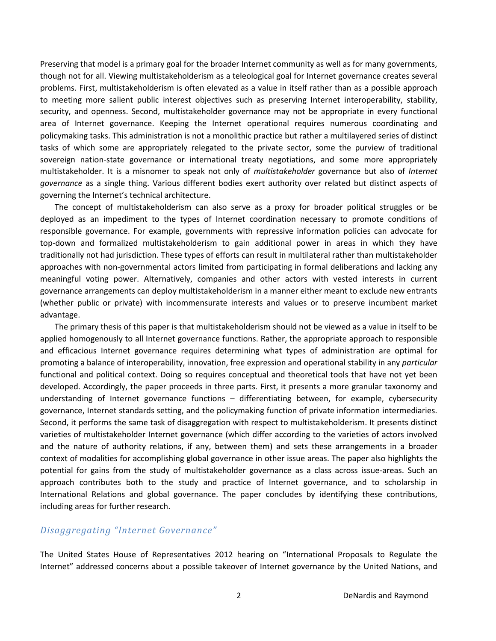Preserving that model is a primary goal for the broader Internet community as well as for many governments, though not for all. Viewing multistakeholderism as a teleological goal for Internet governance creates several problems. First, multistakeholderism is often elevated as a value in itself rather than as a possible approach to meeting more salient public interest objectives such as preserving Internet interoperability, stability, security, and openness. Second, multistakeholder governance may not be appropriate in every functional area of Internet governance. Keeping the Internet operational requires numerous coordinating and policymaking tasks. This administration is not a monolithic practice but rather a multilayered series of distinct tasks of which some are appropriately relegated to the private sector, some the purview of traditional sovereign nation-state governance or international treaty negotiations, and some more appropriately multistakeholder. It is a misnomer to speak not only of *multistakeholder* governance but also of *Internet governance* as a single thing. Various different bodies exert authority over related but distinct aspects of governing the Internet's technical architecture.

The concept of multistakeholderism can also serve as a proxy for broader political struggles or be deployed as an impediment to the types of Internet coordination necessary to promote conditions of responsible governance. For example, governments with repressive information policies can advocate for top-down and formalized multistakeholderism to gain additional power in areas in which they have traditionally not had jurisdiction. These types of efforts can result in multilateral rather than multistakeholder approaches with non-governmental actors limited from participating in formal deliberations and lacking any meaningful voting power. Alternatively, companies and other actors with vested interests in current governance arrangements can deploy multistakeholderism in a manner either meant to exclude new entrants (whether public or private) with incommensurate interests and values or to preserve incumbent market advantage.

The primary thesis of this paper is that multistakeholderism should not be viewed as a value in itself to be applied homogenously to all Internet governance functions. Rather, the appropriate approach to responsible and efficacious Internet governance requires determining what types of administration are optimal for promoting a balance of interoperability, innovation, free expression and operational stability in any *particular* functional and political context. Doing so requires conceptual and theoretical tools that have not yet been developed. Accordingly, the paper proceeds in three parts. First, it presents a more granular taxonomy and understanding of Internet governance functions – differentiating between, for example, cybersecurity governance, Internet standards setting, and the policymaking function of private information intermediaries. Second, it performs the same task of disaggregation with respect to multistakeholderism. It presents distinct varieties of multistakeholder Internet governance (which differ according to the varieties of actors involved and the nature of authority relations, if any, between them) and sets these arrangements in a broader context of modalities for accomplishing global governance in other issue areas. The paper also highlights the potential for gains from the study of multistakeholder governance as a class across issue-areas. Such an approach contributes both to the study and practice of Internet governance, and to scholarship in International Relations and global governance. The paper concludes by identifying these contributions, including areas for further research.

#### *Disaggregating "Internet Governance"*

The United States House of Representatives 2012 hearing on "International Proposals to Regulate the Internet" addressed concerns about a possible takeover of Internet governance by the United Nations, and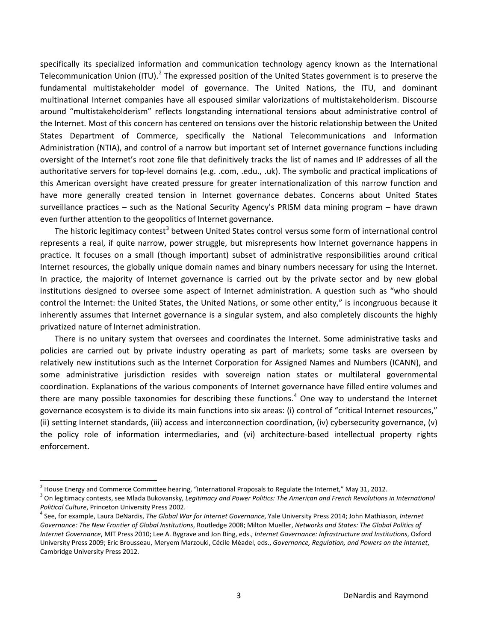specifically its specialized information and communication technology agency known as the International Telecommunication Union (ITU).<sup>[2](#page-2-0)</sup> The expressed position of the United States government is to preserve the fundamental multistakeholder model of governance. The United Nations, the ITU, and dominant multinational Internet companies have all espoused similar valorizations of multistakeholderism. Discourse around "multistakeholderism" reflects longstanding international tensions about administrative control of the Internet. Most of this concern has centered on tensions over the historic relationship between the United States Department of Commerce, specifically the National Telecommunications and Information Administration (NTIA), and control of a narrow but important set of Internet governance functions including oversight of the Internet's root zone file that definitively tracks the list of names and IP addresses of all the authoritative servers for top-level domains (e.g. .com, .edu., .uk). The symbolic and practical implications of this American oversight have created pressure for greater internationalization of this narrow function and have more generally created tension in Internet governance debates. Concerns about United States surveillance practices – such as the National Security Agency's PRISM data mining program – have drawn even further attention to the geopolitics of Internet governance.

The historic legitimacy contest<sup>[3](#page-2-1)</sup> between United States control versus some form of international control represents a real, if quite narrow, power struggle, but misrepresents how Internet governance happens in practice. It focuses on a small (though important) subset of administrative responsibilities around critical Internet resources, the globally unique domain names and binary numbers necessary for using the Internet. In practice, the majority of Internet governance is carried out by the private sector and by new global institutions designed to oversee some aspect of Internet administration. A question such as "who should control the Internet: the United States, the United Nations, or some other entity," is incongruous because it inherently assumes that Internet governance is a singular system, and also completely discounts the highly privatized nature of Internet administration.

There is no unitary system that oversees and coordinates the Internet. Some administrative tasks and policies are carried out by private industry operating as part of markets; some tasks are overseen by relatively new institutions such as the Internet Corporation for Assigned Names and Numbers (ICANN), and some administrative jurisdiction resides with sovereign nation states or multilateral governmental coordination. Explanations of the various components of Internet governance have filled entire volumes and there are many possible taxonomies for describing these functions. $4$  One way to understand the Internet governance ecosystem is to divide its main functions into six areas: (i) control of "critical Internet resources," (ii) setting Internet standards, (iii) access and interconnection coordination, (iv) cybersecurity governance, (v) the policy role of information intermediaries, and (vi) architecture-based intellectual property rights enforcement.

<span id="page-2-0"></span><sup>&</sup>lt;sup>2</sup> House Energy and Commerce Committee hearing, "International Proposals to Regulate the Internet," May 31, 2012.

<span id="page-2-1"></span><sup>3</sup> On legitimacy contests, see Mlada Bukovansky, *Legitimacy and Power Politics: The American and French Revolutions in International Political Culture*, Princeton University Press 2002.<br><sup>4</sup> See, for example, Laura DeNardis, *The Global War for Internet Governance*, Yale University Press 2014; John Mathiason, *Internet* 

<span id="page-2-2"></span>*Governance: The New Frontier of Global Institutions*, Routledge 2008; Milton Mueller, *Networks and States: The Global Politics of Internet Governance*, MIT Press 2010; Lee A. Bygrave and Jon Bing, eds., *Internet Governance: Infrastructure and Institutions*, Oxford University Press 2009; Eric Brousseau, Meryem Marzouki, Cécile Méadel, eds., *Governance, Regulation, and Powers on the Internet*, Cambridge University Press 2012.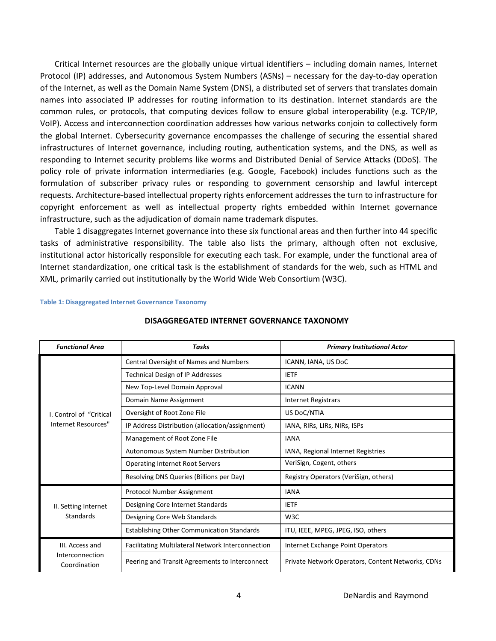Critical Internet resources are the globally unique virtual identifiers – including domain names, Internet Protocol (IP) addresses, and Autonomous System Numbers (ASNs) – necessary for the day-to-day operation of the Internet, as well as the Domain Name System (DNS), a distributed set of servers that translates domain names into associated IP addresses for routing information to its destination. Internet standards are the common rules, or protocols, that computing devices follow to ensure global interoperability (e.g. TCP/IP, VoIP). Access and interconnection coordination addresses how various networks conjoin to collectively form the global Internet. Cybersecurity governance encompasses the challenge of securing the essential shared infrastructures of Internet governance, including routing, authentication systems, and the DNS, as well as responding to Internet security problems like worms and Distributed Denial of Service Attacks (DDoS). The policy role of private information intermediaries (e.g. Google, Facebook) includes functions such as the formulation of subscriber privacy rules or responding to government censorship and lawful intercept requests. Architecture-based intellectual property rights enforcement addresses the turn to infrastructure for copyright enforcement as well as intellectual property rights embedded within Internet governance infrastructure, such as the adjudication of domain name trademark disputes.

Table 1 disaggregates Internet governance into these six functional areas and then further into 44 specific tasks of administrative responsibility. The table also lists the primary, although often not exclusive, institutional actor historically responsible for executing each task. For example, under the functional area of Internet standardization, one critical task is the establishment of standards for the web, such as HTML and XML, primarily carried out institutionally by the World Wide Web Consortium (W3C).

#### **Table 1: Disaggregated Internet Governance Taxonomy**

| <b>Functional Area</b>                             | Tasks                                             | <b>Primary Institutional Actor</b>                |  |
|----------------------------------------------------|---------------------------------------------------|---------------------------------------------------|--|
| I. Control of "Critical<br>Internet Resources"     | Central Oversight of Names and Numbers            | ICANN, IANA, US DoC                               |  |
|                                                    | <b>Technical Design of IP Addresses</b>           | <b>IETF</b>                                       |  |
|                                                    | New Top-Level Domain Approval                     | <b>ICANN</b>                                      |  |
|                                                    | Domain Name Assignment                            | <b>Internet Registrars</b>                        |  |
|                                                    | Oversight of Root Zone File                       | US DoC/NTIA                                       |  |
|                                                    | IP Address Distribution (allocation/assignment)   | IANA, RIRs, LIRs, NIRs, ISPs                      |  |
|                                                    | Management of Root Zone File                      | <b>IANA</b>                                       |  |
|                                                    | Autonomous System Number Distribution             | IANA, Regional Internet Registries                |  |
|                                                    | <b>Operating Internet Root Servers</b>            | VeriSign, Cogent, others                          |  |
|                                                    | Resolving DNS Queries (Billions per Day)          | Registry Operators (VeriSign, others)             |  |
| II. Setting Internet<br>Standards                  | Protocol Number Assignment                        | <b>IANA</b>                                       |  |
|                                                    | Designing Core Internet Standards                 | <b>IETF</b>                                       |  |
|                                                    | Designing Core Web Standards                      | W <sub>3</sub> C                                  |  |
|                                                    | <b>Establishing Other Communication Standards</b> | ITU, IEEE, MPEG, JPEG, ISO, others                |  |
| III. Access and<br>Interconnection<br>Coordination | Facilitating Multilateral Network Interconnection | Internet Exchange Point Operators                 |  |
|                                                    | Peering and Transit Agreements to Interconnect    | Private Network Operators, Content Networks, CDNs |  |

#### **DISAGGREGATED INTERNET GOVERNANCE TAXONOMY**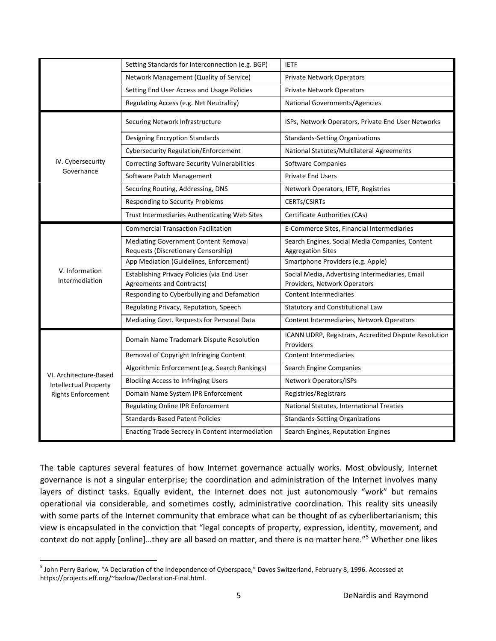|                                                                                     | Setting Standards for Interconnection (e.g. BGP)                                | <b>IETF</b>                                                                     |  |
|-------------------------------------------------------------------------------------|---------------------------------------------------------------------------------|---------------------------------------------------------------------------------|--|
|                                                                                     | Network Management (Quality of Service)                                         | Private Network Operators                                                       |  |
|                                                                                     | Setting End User Access and Usage Policies                                      | <b>Private Network Operators</b>                                                |  |
|                                                                                     | Regulating Access (e.g. Net Neutrality)                                         | National Governments/Agencies                                                   |  |
| IV. Cybersecurity<br>Governance                                                     | Securing Network Infrastructure                                                 | ISPs, Network Operators, Private End User Networks                              |  |
|                                                                                     | <b>Designing Encryption Standards</b>                                           | <b>Standards-Setting Organizations</b>                                          |  |
|                                                                                     | <b>Cybersecurity Regulation/Enforcement</b>                                     | National Statutes/Multilateral Agreements                                       |  |
|                                                                                     | <b>Correcting Software Security Vulnerabilities</b><br>Software Companies       |                                                                                 |  |
|                                                                                     | Software Patch Management                                                       | <b>Private End Users</b>                                                        |  |
|                                                                                     | Securing Routing, Addressing, DNS                                               | Network Operators, IETF, Registries                                             |  |
|                                                                                     | Responding to Security Problems                                                 | CERTs/CSIRTs                                                                    |  |
|                                                                                     | Trust Intermediaries Authenticating Web Sites                                   | Certificate Authorities (CAs)                                                   |  |
|                                                                                     | <b>Commercial Transaction Facilitation</b>                                      | E-Commerce Sites, Financial Intermediaries                                      |  |
|                                                                                     | Mediating Government Content Removal<br>Requests (Discretionary Censorship)     | Search Engines, Social Media Companies, Content<br><b>Aggregation Sites</b>     |  |
|                                                                                     | App Mediation (Guidelines, Enforcement)                                         | Smartphone Providers (e.g. Apple)                                               |  |
| V. Information<br>Intermediation                                                    | Establishing Privacy Policies (via End User<br><b>Agreements and Contracts)</b> | Social Media, Advertising Intermediaries, Email<br>Providers, Network Operators |  |
|                                                                                     | Responding to Cyberbullying and Defamation                                      | <b>Content Intermediaries</b>                                                   |  |
|                                                                                     | Regulating Privacy, Reputation, Speech                                          | Statutory and Constitutional Law                                                |  |
|                                                                                     | Mediating Govt. Requests for Personal Data                                      | Content Intermediaries, Network Operators                                       |  |
|                                                                                     | Domain Name Trademark Dispute Resolution                                        | ICANN UDRP, Registrars, Accredited Dispute Resolution<br>Providers              |  |
|                                                                                     | Removal of Copyright Infringing Content                                         | Content Intermediaries                                                          |  |
|                                                                                     | Algorithmic Enforcement (e.g. Search Rankings)                                  | Search Engine Companies                                                         |  |
| VI. Architecture-Based<br><b>Intellectual Property</b><br><b>Rights Enforcement</b> | <b>Blocking Access to Infringing Users</b>                                      | Network Operators/ISPs                                                          |  |
|                                                                                     | Domain Name System IPR Enforcement                                              | Registries/Registrars                                                           |  |
|                                                                                     | Regulating Online IPR Enforcement                                               | National Statutes, International Treaties                                       |  |
|                                                                                     | <b>Standards-Based Patent Policies</b>                                          | <b>Standards-Setting Organizations</b>                                          |  |
|                                                                                     | Enacting Trade Secrecy in Content Intermediation                                | Search Engines, Reputation Engines                                              |  |

The table captures several features of how Internet governance actually works. Most obviously, Internet governance is not a singular enterprise; the coordination and administration of the Internet involves many layers of distinct tasks. Equally evident, the Internet does not just autonomously "work" but remains operational via considerable, and sometimes costly, administrative coordination. This reality sits uneasily with some parts of the Internet community that embrace what can be thought of as cyberlibertarianism; this view is encapsulated in the conviction that "legal concepts of property, expression, identity, movement, and context do not apply [online]...they are all based on matter, and there is no matter here."<sup>[5](#page-4-0)</sup> Whether one likes

<span id="page-4-0"></span> <sup>5</sup> John Perry Barlow, "A Declaration of the Independence of Cyberspace," Davos Switzerland, February 8, 1996. Accessed at https://projects.eff.org/~barlow/Declaration-Final.html.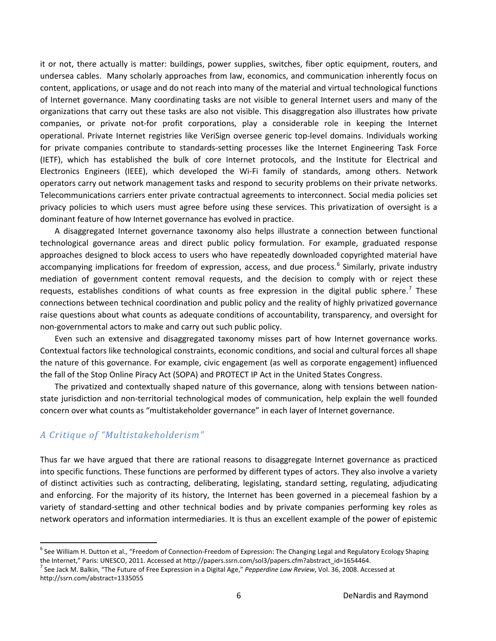it or not, there actually is matter: buildings, power supplies, switches, fiber optic equipment, routers, and undersea cables. Many scholarly approaches from law, economics, and communication inherently focus on content, applications, or usage and do not reach into many of the material and virtual technological functions of Internet governance. Many coordinating tasks are not visible to general Internet users and many of the organizations that carry out these tasks are also not visible. This disaggregation also illustrates how private companies, or private not-for profit corporations, play a considerable role in keeping the Internet operational. Private Internet registries like VeriSign oversee generic top-level domains. Individuals working for private companies contribute to standards-setting processes like the Internet Engineering Task Force (IETF), which has established the bulk of core Internet protocols, and the Institute for Electrical and Electronics Engineers (IEEE), which developed the Wi-Fi family of standards, among others. Network operators carry out network management tasks and respond to security problems on their private networks. Telecommunications carriers enter private contractual agreements to interconnect. Social media policies set privacy policies to which users must agree before using these services. This privatization of oversight is a dominant feature of how Internet governance has evolved in practice.

A disaggregated Internet governance taxonomy also helps illustrate a connection between functional technological governance areas and direct public policy formulation. For example, graduated response approaches designed to block access to users who have repeatedly downloaded copyrighted material have accompanying implications for freedom of expression, access, and due process.<sup>[6](#page-5-0)</sup> Similarly, private industry mediation of government content removal requests, and the decision to comply with or reject these requests, establishes conditions of what counts as free expression in the digital public sphere.<sup>[7](#page-5-1)</sup> These connections between technical coordination and public policy and the reality of highly privatized governance raise questions about what counts as adequate conditions of accountability, transparency, and oversight for non-governmental actors to make and carry out such public policy.

Even such an extensive and disaggregated taxonomy misses part of how Internet governance works. Contextual factors like technological constraints, economic conditions, and social and cultural forces all shape the nature of this governance. For example, civic engagement (as well as corporate engagement) influenced the fall of the Stop Online Piracy Act (SOPA) and PROTECT IP Act in the United States Congress.

The privatized and contextually shaped nature of this governance, along with tensions between nationstate jurisdiction and non-territorial technological modes of communication, help explain the well founded concern over what counts as "multistakeholder governance" in each layer of Internet governance.

## *A Critique of "Multistakeholderism"*

Thus far we have argued that there are rational reasons to disaggregate Internet governance as practiced into specific functions. These functions are performed by different types of actors. They also involve a variety of distinct activities such as contracting, deliberating, legislating, standard setting, regulating, adjudicating and enforcing. For the majority of its history, the Internet has been governed in a piecemeal fashion by a variety of standard-setting and other technical bodies and by private companies performing key roles as network operators and information intermediaries. It is thus an excellent example of the power of epistemic

<span id="page-5-0"></span><sup>&</sup>lt;sup>6</sup> See William H. Dutton et al., "Freedom of Connection-Freedom of Expression: The Changing Legal and Regulatory Ecology Shaping the Internet," Paris: UNESCO, 2011. Accessed at http://papers.ssrn.com/sol3/papers.cfm?abstract\_id=1654464.

<span id="page-5-1"></span><sup>7</sup> See Jack M. Balkin, "The Future of Free Expression in a Digital Age," *Pepperdine Law Review*, Vol. 36, 2008. Accessed at http://ssrn.com/abstract=1335055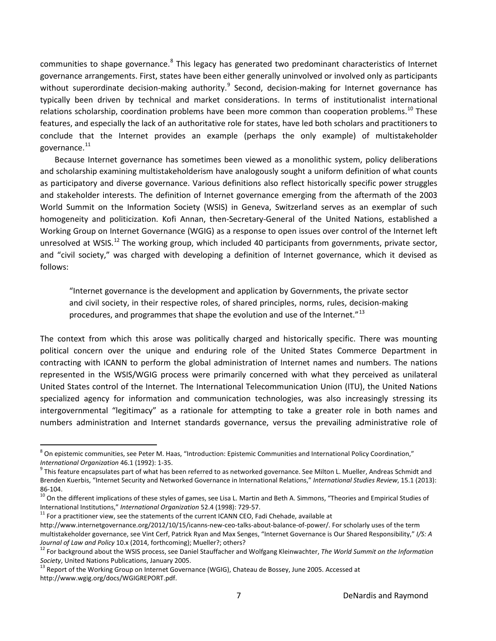communities to shape governance.<sup>[8](#page-6-0)</sup> This legacy has generated two predominant characteristics of Internet governance arrangements. First, states have been either generally uninvolved or involved only as participants without superordinate decision-making authority.<sup>[9](#page-6-1)</sup> Second, decision-making for Internet governance has typically been driven by technical and market considerations. In terms of institutionalist international relations scholarship, coordination problems have been more common than cooperation problems.<sup>[10](#page-6-2)</sup> These features, and especially the lack of an authoritative role for states, have led both scholars and practitioners to conclude that the Internet provides an example (perhaps the only example) of multistakeholder governance.<sup>[11](#page-6-3)</sup>

Because Internet governance has sometimes been viewed as a monolithic system, policy deliberations and scholarship examining multistakeholderism have analogously sought a uniform definition of what counts as participatory and diverse governance. Various definitions also reflect historically specific power struggles and stakeholder interests. The definition of Internet governance emerging from the aftermath of the 2003 World Summit on the Information Society (WSIS) in Geneva, Switzerland serves as an exemplar of such homogeneity and politicization. Kofi Annan, then-Secretary-General of the United Nations, established a Working Group on Internet Governance (WGIG) as a response to open issues over control of the Internet left unresolved at WSIS.<sup>[12](#page-6-4)</sup> The working group, which included 40 participants from governments, private sector, and "civil society," was charged with developing a definition of Internet governance, which it devised as follows:

"Internet governance is the development and application by Governments, the private sector and civil society, in their respective roles, of shared principles, norms, rules, decision-making procedures, and programmes that shape the evolution and use of the Internet."<sup>[13](#page-6-5)</sup>

The context from which this arose was politically charged and historically specific. There was mounting political concern over the unique and enduring role of the United States Commerce Department in contracting with ICANN to perform the global administration of Internet names and numbers. The nations represented in the WSIS/WGIG process were primarily concerned with what they perceived as unilateral United States control of the Internet. The International Telecommunication Union (ITU), the United Nations specialized agency for information and communication technologies, was also increasingly stressing its intergovernmental "legitimacy" as a rationale for attempting to take a greater role in both names and numbers administration and Internet standards governance, versus the prevailing administrative role of

<span id="page-6-3"></span>

<span id="page-6-0"></span><sup>&</sup>lt;sup>8</sup> On epistemic communities, see Peter M. Haas, "Introduction: Epistemic Communities and International Policy Coordination," *International Organization* 46.1 (1992): 1-35.<br><sup>9</sup> This feature encapsulates part of what has been referred to as networked governance. See Milton L. Mueller, Andreas Schmidt and

<span id="page-6-1"></span>Brenden Kuerbis, "Internet Security and Networked Governance in International Relations," *International Studies Review*, 15.1 (2013): 86-104.<br><sup>10</sup> On the different implications of these styles of games, see Lisa L. Martin and Beth A. Simmons, "Theories and Empirical Studies of

<span id="page-6-2"></span>International Institutions," *International Organization* 52.4 (1998): 729-57.<br><sup>11</sup> For a practitioner view, see the statements of the current ICANN CEO, Fadi Chehade, available at

http://www.internetgovernance.org/2012/10/15/icanns-new-ceo-talks-about-balance-of-power/. For scholarly uses of the term multistakeholder governance, see Vint Cerf, Patrick Ryan and Max Senges, "Internet Governance is Our Shared Responsibility," *I/S: A* 

<span id="page-6-4"></span>*Journal of Law and Policy* 10.x (2014, forthcoming); Mueller?; others?<br><sup>12</sup> For background about the WSIS process, see Daniel Stauffacher and Wolfgang Kleinwachter, *The World Summit on the Information*<br>Society, United Na

<span id="page-6-5"></span><sup>&</sup>lt;sup>13</sup> Report of the Working Group on Internet Governance (WGIG), Chateau de Bossey, June 2005. Accessed at http://www.wgig.org/docs/WGIGREPORT.pdf.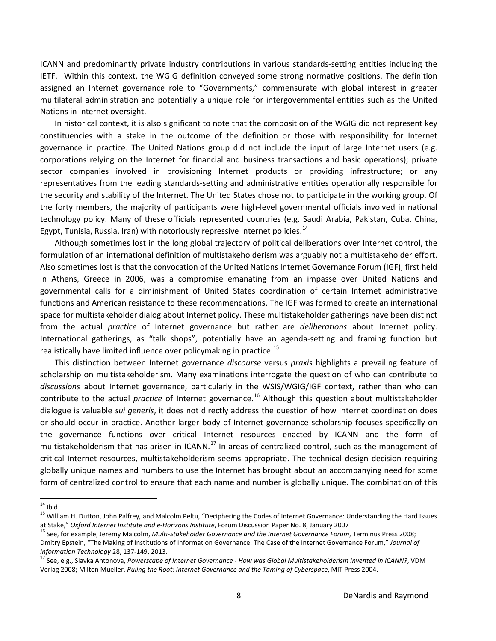ICANN and predominantly private industry contributions in various standards-setting entities including the IETF. Within this context, the WGIG definition conveyed some strong normative positions. The definition assigned an Internet governance role to "Governments," commensurate with global interest in greater multilateral administration and potentially a unique role for intergovernmental entities such as the United Nations in Internet oversight.

In historical context, it is also significant to note that the composition of the WGIG did not represent key constituencies with a stake in the outcome of the definition or those with responsibility for Internet governance in practice. The United Nations group did not include the input of large Internet users (e.g. corporations relying on the Internet for financial and business transactions and basic operations); private sector companies involved in provisioning Internet products or providing infrastructure; or any representatives from the leading standards-setting and administrative entities operationally responsible for the security and stability of the Internet. The United States chose not to participate in the working group. Of the forty members, the majority of participants were high-level governmental officials involved in national technology policy. Many of these officials represented countries (e.g. Saudi Arabia, Pakistan, Cuba, China, Egypt, Tunisia, Russia, Iran) with notoriously repressive Internet policies.<sup>[14](#page-7-0)</sup>

Although sometimes lost in the long global trajectory of political deliberations over Internet control, the formulation of an international definition of multistakeholderism was arguably not a multistakeholder effort. Also sometimes lost is that the convocation of the United Nations Internet Governance Forum (IGF), first held in Athens, Greece in 2006, was a compromise emanating from an impasse over United Nations and governmental calls for a diminishment of United States coordination of certain Internet administrative functions and American resistance to these recommendations. The IGF was formed to create an international space for multistakeholder dialog about Internet policy. These multistakeholder gatherings have been distinct from the actual *practice* of Internet governance but rather are *deliberations* about Internet policy. International gatherings, as "talk shops", potentially have an agenda-setting and framing function but realistically have limited influence over policymaking in practice.<sup>[15](#page-7-1)</sup>

This distinction between Internet governance *discourse* versus *praxis* highlights a prevailing feature of scholarship on multistakeholderism. Many examinations interrogate the question of who can contribute to *discussions* about Internet governance, particularly in the WSIS/WGIG/IGF context, rather than who can contribute to the actual *practice* of Internet governance.<sup>[16](#page-7-2)</sup> Although this question about multistakeholder dialogue is valuable *sui generis*, it does not directly address the question of how Internet coordination does or should occur in practice. Another larger body of Internet governance scholarship focuses specifically on the governance functions over critical Internet resources enacted by ICANN and the form of multistakeholderism that has arisen in ICANN.<sup>[17](#page-7-3)</sup> In areas of centralized control, such as the management of critical Internet resources, multistakeholderism seems appropriate. The technical design decision requiring globally unique names and numbers to use the Internet has brought about an accompanying need for some form of centralized control to ensure that each name and number is globally unique. The combination of this

<span id="page-7-1"></span><span id="page-7-0"></span><sup>&</sup>lt;sup>14</sup> Ibid.<br><sup>15</sup> William H. Dutton, John Palfrey, and Malcolm Peltu, "Deciphering the Codes of Internet Governance: Understanding the Hard Issues

<span id="page-7-2"></span>at Stake," Oxford Internet Institute and e-Horizons Institute, Forum Discussion Paper No. 8, January 2007<br><sup>16</sup> See, for example, Jeremy Malcolm, *Multi-Stakeholder Governance and the Internet Governance Forum*, Terminus Pr Dmitry Epstein, "The Making of Institutions of Information Governance: The Case of the Internet Governance Forum," *Journal of Information Technology* 28, 137-149, 2013.<br><sup>17</sup> See, e.g., Slavka Antonova, Powerscape of Internet Governance - *How was Global Multistakeholderism Invented in ICANN?*, VDM

<span id="page-7-3"></span>Verlag 2008; Milton Mueller, *Ruling the Root: Internet Governance and the Taming of Cyberspace*, MIT Press 2004.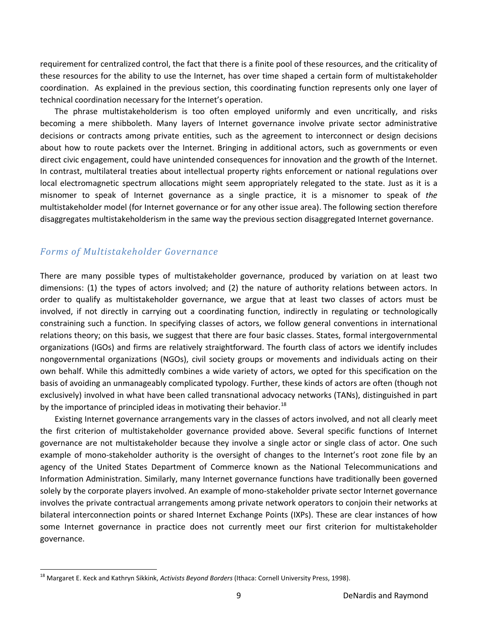requirement for centralized control, the fact that there is a finite pool of these resources, and the criticality of these resources for the ability to use the Internet, has over time shaped a certain form of multistakeholder coordination. As explained in the previous section, this coordinating function represents only one layer of technical coordination necessary for the Internet's operation.

The phrase multistakeholderism is too often employed uniformly and even uncritically, and risks becoming a mere shibboleth. Many layers of Internet governance involve private sector administrative decisions or contracts among private entities, such as the agreement to interconnect or design decisions about how to route packets over the Internet. Bringing in additional actors, such as governments or even direct civic engagement, could have unintended consequences for innovation and the growth of the Internet. In contrast, multilateral treaties about intellectual property rights enforcement or national regulations over local electromagnetic spectrum allocations might seem appropriately relegated to the state. Just as it is a misnomer to speak of Internet governance as a single practice, it is a misnomer to speak of *the* multistakeholder model (for Internet governance or for any other issue area). The following section therefore disaggregates multistakeholderism in the same way the previous section disaggregated Internet governance.

#### *Forms of Multistakeholder Governance*

There are many possible types of multistakeholder governance, produced by variation on at least two dimensions: (1) the types of actors involved; and (2) the nature of authority relations between actors. In order to qualify as multistakeholder governance, we argue that at least two classes of actors must be involved, if not directly in carrying out a coordinating function, indirectly in regulating or technologically constraining such a function. In specifying classes of actors, we follow general conventions in international relations theory; on this basis, we suggest that there are four basic classes. States, formal intergovernmental organizations (IGOs) and firms are relatively straightforward. The fourth class of actors we identify includes nongovernmental organizations (NGOs), civil society groups or movements and individuals acting on their own behalf. While this admittedly combines a wide variety of actors, we opted for this specification on the basis of avoiding an unmanageably complicated typology. Further, these kinds of actors are often (though not exclusively) involved in what have been called transnational advocacy networks (TANs), distinguished in part by the importance of principled ideas in motivating their behavior.<sup>[18](#page-8-0)</sup>

Existing Internet governance arrangements vary in the classes of actors involved, and not all clearly meet the first criterion of multistakeholder governance provided above. Several specific functions of Internet governance are not multistakeholder because they involve a single actor or single class of actor. One such example of mono-stakeholder authority is the oversight of changes to the Internet's root zone file by an agency of the United States Department of Commerce known as the National Telecommunications and Information Administration. Similarly, many Internet governance functions have traditionally been governed solely by the corporate players involved. An example of mono-stakeholder private sector Internet governance involves the private contractual arrangements among private network operators to conjoin their networks at bilateral interconnection points or shared Internet Exchange Points (IXPs). These are clear instances of how some Internet governance in practice does not currently meet our first criterion for multistakeholder governance.

<span id="page-8-0"></span> <sup>18</sup> Margaret E. Keck and Kathryn Sikkink, *Activists Beyond Borders* (Ithaca: Cornell University Press, 1998).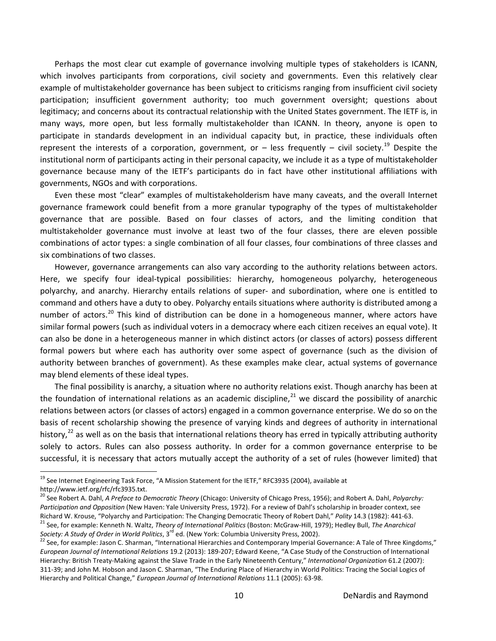Perhaps the most clear cut example of governance involving multiple types of stakeholders is ICANN, which involves participants from corporations, civil society and governments. Even this relatively clear example of multistakeholder governance has been subject to criticisms ranging from insufficient civil society participation; insufficient government authority; too much government oversight; questions about legitimacy; and concerns about its contractual relationship with the United States government. The IETF is, in many ways, more open, but less formally multistakeholder than ICANN. In theory, anyone is open to participate in standards development in an individual capacity but, in practice, these individuals often represent the interests of a corporation, government, or  $-$  less frequently  $-$  civil society.<sup>[19](#page-9-0)</sup> Despite the institutional norm of participants acting in their personal capacity, we include it as a type of multistakeholder governance because many of the IETF's participants do in fact have other institutional affiliations with governments, NGOs and with corporations.

Even these most "clear" examples of multistakeholderism have many caveats, and the overall Internet governance framework could benefit from a more granular typography of the types of multistakeholder governance that are possible. Based on four classes of actors, and the limiting condition that multistakeholder governance must involve at least two of the four classes, there are eleven possible combinations of actor types: a single combination of all four classes, four combinations of three classes and six combinations of two classes.

However, governance arrangements can also vary according to the authority relations between actors. Here, we specify four ideal-typical possibilities: hierarchy, homogeneous polyarchy, heterogeneous polyarchy, and anarchy. Hierarchy entails relations of super- and subordination, where one is entitled to command and others have a duty to obey. Polyarchy entails situations where authority is distributed among a number of actors.<sup>[20](#page-9-1)</sup> This kind of distribution can be done in a homogeneous manner, where actors have similar formal powers (such as individual voters in a democracy where each citizen receives an equal vote). It can also be done in a heterogeneous manner in which distinct actors (or classes of actors) possess different formal powers but where each has authority over some aspect of governance (such as the division of authority between branches of government). As these examples make clear, actual systems of governance may blend elements of these ideal types.

The final possibility is anarchy, a situation where no authority relations exist. Though anarchy has been at the foundation of international relations as an academic discipline, $^{21}$  $^{21}$  $^{21}$  we discard the possibility of anarchic relations between actors (or classes of actors) engaged in a common governance enterprise. We do so on the basis of recent scholarship showing the presence of varying kinds and degrees of authority in international history, $^{22}$  $^{22}$  $^{22}$  as well as on the basis that international relations theory has erred in typically attributing authority solely to actors. Rules can also possess authority. In order for a common governance enterprise to be successful, it is necessary that actors mutually accept the authority of a set of rules (however limited) that

<span id="page-9-0"></span><sup>&</sup>lt;sup>19</sup> See Internet Engineering Task Force, "A Mission Statement for the IETF," RFC3935 (2004), available at http://www.ietf.org/rfc/rfc3935.txt.

<span id="page-9-1"></span><sup>&</sup>lt;sup>20</sup> See Robert A. Dahl, A Preface to Democratic Theory (Chicago: University of Chicago Press, 1956); and Robert A. Dahl, *Polyarchy: Participation and Opposition* (New Haven: Yale University Press, 1972). For a review of Dahl's scholarship in broader context, see Richard W. Krouse, "Polyarchy and Participation: The Changing Democratic Theory of Robert Dahl," Polity 14.3 (1982): 441-63.<br><sup>21</sup> See, for example: Kenneth N. Waltz, *Theory of International Politics* (Boston: McGraw-Hill,

<span id="page-9-3"></span>

<span id="page-9-2"></span>Society: A Study of Order in World Politics, 3<sup>rd</sup> ed. (New York: Columbia University Press, 2002).<br><sup>22</sup> See, for example: Jason C. Sharman, "International Hierarchies and Contemporary Imperial Governance: A Tale of Three *European Journal of International Relations* 19.2 (2013): 189-207; Edward Keene, "A Case Study of the Construction of International Hierarchy: British Treaty-Making against the Slave Trade in the Early Nineteenth Century," *International Organization* 61.2 (2007): 311-39; and John M. Hobson and Jason C. Sharman, "The Enduring Place of Hierarchy in World Politics: Tracing the Social Logics of Hierarchy and Political Change," *European Journal of International Relations* 11.1 (2005): 63-98.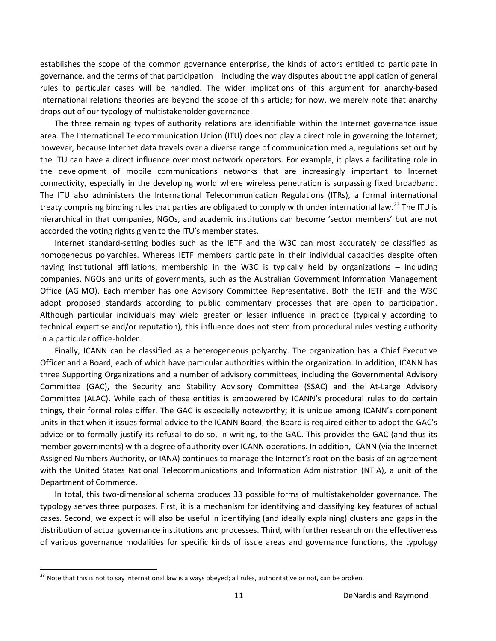establishes the scope of the common governance enterprise, the kinds of actors entitled to participate in governance, and the terms of that participation – including the way disputes about the application of general rules to particular cases will be handled. The wider implications of this argument for anarchy-based international relations theories are beyond the scope of this article; for now, we merely note that anarchy drops out of our typology of multistakeholder governance.

The three remaining types of authority relations are identifiable within the Internet governance issue area. The International Telecommunication Union (ITU) does not play a direct role in governing the Internet; however, because Internet data travels over a diverse range of communication media, regulations set out by the ITU can have a direct influence over most network operators. For example, it plays a facilitating role in the development of mobile communications networks that are increasingly important to Internet connectivity, especially in the developing world where wireless penetration is surpassing fixed broadband. The ITU also administers the International Telecommunication Regulations (ITRs), a formal international treaty comprising binding rules that parties are obligated to comply with under international law.<sup>[23](#page-10-0)</sup> The ITU is hierarchical in that companies, NGOs, and academic institutions can become 'sector members' but are not accorded the voting rights given to the ITU's member states.

Internet standard-setting bodies such as the IETF and the W3C can most accurately be classified as homogeneous polyarchies. Whereas IETF members participate in their individual capacities despite often having institutional affiliations, membership in the W3C is typically held by organizations – including companies, NGOs and units of governments, such as the Australian Government Information Management Office (AGIMO). Each member has one Advisory Committee Representative. Both the IETF and the W3C adopt proposed standards according to public commentary processes that are open to participation. Although particular individuals may wield greater or lesser influence in practice (typically according to technical expertise and/or reputation), this influence does not stem from procedural rules vesting authority in a particular office-holder.

Finally, ICANN can be classified as a heterogeneous polyarchy. The organization has a Chief Executive Officer and a Board, each of which have particular authorities within the organization. In addition, ICANN has three Supporting Organizations and a number of advisory committees, including the Governmental Advisory Committee (GAC), the Security and Stability Advisory Committee (SSAC) and the At-Large Advisory Committee (ALAC). While each of these entities is empowered by ICANN's procedural rules to do certain things, their formal roles differ. The GAC is especially noteworthy; it is unique among ICANN's component units in that when it issues formal advice to the ICANN Board, the Board is required either to adopt the GAC's advice or to formally justify its refusal to do so, in writing, to the GAC. This provides the GAC (and thus its member governments) with a degree of authority over ICANN operations. In addition, ICANN (via the Internet Assigned Numbers Authority, or IANA) continues to manage the Internet's root on the basis of an agreement with the United States National Telecommunications and Information Administration (NTIA), a unit of the Department of Commerce.

In total, this two-dimensional schema produces 33 possible forms of multistakeholder governance. The typology serves three purposes. First, it is a mechanism for identifying and classifying key features of actual cases. Second, we expect it will also be useful in identifying (and ideally explaining) clusters and gaps in the distribution of actual governance institutions and processes. Third, with further research on the effectiveness of various governance modalities for specific kinds of issue areas and governance functions, the typology

<span id="page-10-0"></span> $23$  Note that this is not to say international law is always obeyed; all rules, authoritative or not, can be broken.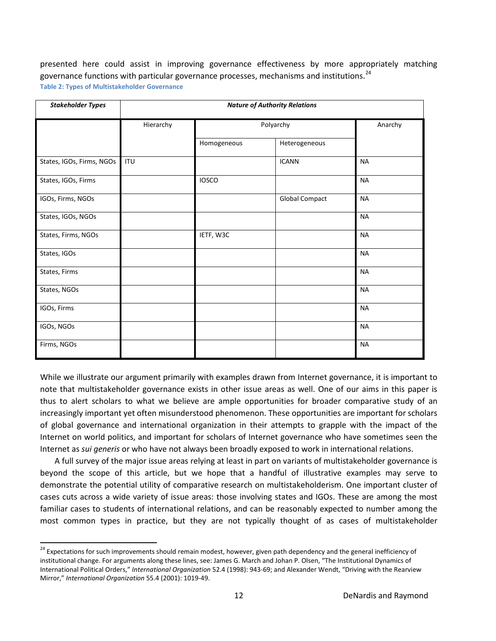presented here could assist in improving governance effectiveness by more appropriately matching governance functions with particular governance processes, mechanisms and institutions.<sup>[24](#page-11-0)</sup> **Table 2: Types of Multistakeholder Governance**

| <b>Stakeholder Types</b>  | <b>Nature of Authority Relations</b> |              |                       |           |  |
|---------------------------|--------------------------------------|--------------|-----------------------|-----------|--|
|                           | Hierarchy                            | Polyarchy    |                       | Anarchy   |  |
|                           |                                      | Homogeneous  | Heterogeneous         |           |  |
| States, IGOs, Firms, NGOs | <b>ITU</b>                           |              | <b>ICANN</b>          | <b>NA</b> |  |
| States, IGOs, Firms       |                                      | <b>IOSCO</b> |                       | <b>NA</b> |  |
| IGOs, Firms, NGOs         |                                      |              | <b>Global Compact</b> | <b>NA</b> |  |
| States, IGOs, NGOs        |                                      |              |                       | <b>NA</b> |  |
| States, Firms, NGOs       |                                      | IETF, W3C    |                       | <b>NA</b> |  |
| States, IGOs              |                                      |              |                       | <b>NA</b> |  |
| States, Firms             |                                      |              |                       | <b>NA</b> |  |
| States, NGOs              |                                      |              |                       | <b>NA</b> |  |
| IGOs, Firms               |                                      |              |                       | <b>NA</b> |  |
| IGOs, NGOs                |                                      |              |                       | <b>NA</b> |  |
| Firms, NGOs               |                                      |              |                       | <b>NA</b> |  |

While we illustrate our argument primarily with examples drawn from Internet governance, it is important to note that multistakeholder governance exists in other issue areas as well. One of our aims in this paper is thus to alert scholars to what we believe are ample opportunities for broader comparative study of an increasingly important yet often misunderstood phenomenon. These opportunities are important for scholars of global governance and international organization in their attempts to grapple with the impact of the Internet on world politics, and important for scholars of Internet governance who have sometimes seen the Internet as *sui generis* or who have not always been broadly exposed to work in international relations.

A full survey of the major issue areas relying at least in part on variants of multistakeholder governance is beyond the scope of this article, but we hope that a handful of illustrative examples may serve to demonstrate the potential utility of comparative research on multistakeholderism. One important cluster of cases cuts across a wide variety of issue areas: those involving states and IGOs. These are among the most familiar cases to students of international relations, and can be reasonably expected to number among the most common types in practice, but they are not typically thought of as cases of multistakeholder

<span id="page-11-0"></span><sup>&</sup>lt;sup>24</sup> Expectations for such improvements should remain modest, however, given path dependency and the general inefficiency of institutional change. For arguments along these lines, see: James G. March and Johan P. Olsen, "The Institutional Dynamics of International Political Orders," *International Organization* 52.4 (1998): 943-69; and Alexander Wendt, "Driving with the Rearview Mirror," *International Organization* 55.4 (2001): 1019-49.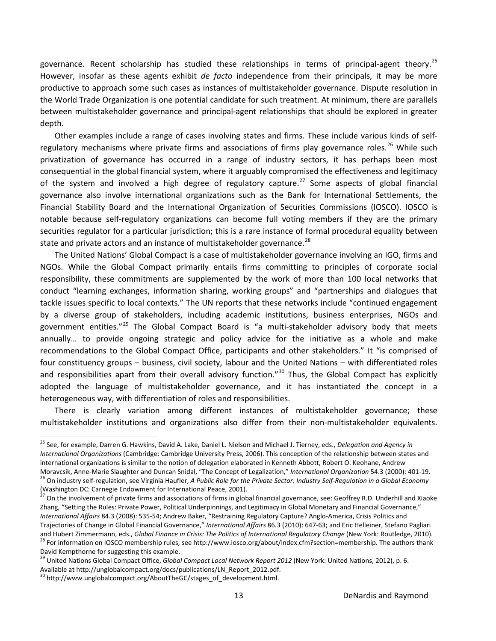governance. Recent scholarship has studied these relationships in terms of principal-agent theory.<sup>[25](#page-12-0)</sup> However, insofar as these agents exhibit *de facto* independence from their principals, it may be more productive to approach some such cases as instances of multistakeholder governance. Dispute resolution in the World Trade Organization is one potential candidate for such treatment. At minimum, there are parallels between multistakeholder governance and principal-agent relationships that should be explored in greater depth.

Other examples include a range of cases involving states and firms. These include various kinds of self-regulatory mechanisms where private firms and associations of firms play governance roles.<sup>[26](#page-12-1)</sup> While such privatization of governance has occurred in a range of industry sectors, it has perhaps been most consequential in the global financial system, where it arguably compromised the effectiveness and legitimacy of the system and involved a high degree of regulatory capture.<sup>[27](#page-12-2)</sup> Some aspects of global financial governance also involve international organizations such as the Bank for International Settlements, the Financial Stability Board and the International Organization of Securities Commissions (IOSCO). IOSCO is notable because self-regulatory organizations can become full voting members if they are the primary securities regulator for a particular jurisdiction; this is a rare instance of formal procedural equality between state and private actors and an instance of multistakeholder governance.<sup>[28](#page-12-3)</sup>

The United Nations' Global Compact is a case of multistakeholder governance involving an IGO, firms and NGOs. While the Global Compact primarily entails firms committing to principles of corporate social responsibility, these commitments are supplemented by the work of more than 100 local networks that conduct "learning exchanges, information sharing, working groups" and "partnerships and dialogues that tackle issues specific to local contexts." The UN reports that these networks include "continued engagement by a diverse group of stakeholders, including academic institutions, business enterprises, NGOs and government entities."[29](#page-12-4) The Global Compact Board is "a multi-stakeholder advisory body that meets annually… to provide ongoing strategic and policy advice for the initiative as a whole and make recommendations to the Global Compact Office, participants and other stakeholders." It "is comprised of four constituency groups – business, civil society, labour and the United Nations – with differentiated roles and responsibilities apart from their overall advisory function."<sup>[30](#page-12-5)</sup> Thus, the Global Compact has explicitly adopted the language of multistakeholder governance, and it has instantiated the concept in a heterogeneous way, with differentiation of roles and responsibilities.

There is clearly variation among different instances of multistakeholder governance; these multistakeholder institutions and organizations also differ from their non-multistakeholder equivalents.

<span id="page-12-0"></span> <sup>25</sup> See, for example, Darren G. Hawkins, David A. Lake, Daniel L. Nielson and Michael J. Tierney, eds., *Delegation and Agency in International Organizations* (Cambridge: Cambridge University Press, 2006). This conception of the relationship between states and international organizations is similar to the notion of delegation elaborated in Kenneth Abbott, Robert O. Keohane, Andrew

<span id="page-12-1"></span>Moravcsik, Anne-Marie Slaughter and Duncan Snidal, "The Concept of Legalization," International Organization 54.3 (2000): 401-19.<br><sup>26</sup> On industry self-regulation, see Virginia Haufler, A Public Role for the Private Sector (Washington DC: Carnegie Endowment for International Peace, 2001).

<span id="page-12-2"></span><sup>&</sup>lt;sup>27</sup> On the involvement of private firms and associations of firms in global financial governance, see: Geoffrey R.D. Underhill and Xiaoke Zhang, "Setting the Rules: Private Power, Political Underpinnings, and Legitimacy in Global Monetary and Financial Governance," *International Affairs* 84.3 (2008): 535-54; Andrew Baker, "Restraining Regulatory Capture? Anglo-America, Crisis Politics and Trajectories of Change in Global Financial Governance," *International Affairs* 86.3 (2010): 647-63; and Eric Helleiner, Stefano Pagliari and Hubert Zimmermann, eds., *Global Finance in Crisis: The Politics of International Regulatory Change* (New York: Routledge, 2010).<br><sup>28</sup> For information on IOSCO membership rules, see http://www.iosco.org/about/index.cfm

<span id="page-12-4"></span><span id="page-12-3"></span>David Kempthorne for suggesting this example.<br><sup>29</sup> United Nations Global Compact Office, *Global Compact Local Network Report 2012* (New York: United Nations, 2012), p. 6.<br>Available at http://unglobalcompact.org/docs/publi

<span id="page-12-5"></span><sup>&</sup>lt;sup>30</sup> http://www.unglobalcompact.org/AboutTheGC/stages\_of\_development.html.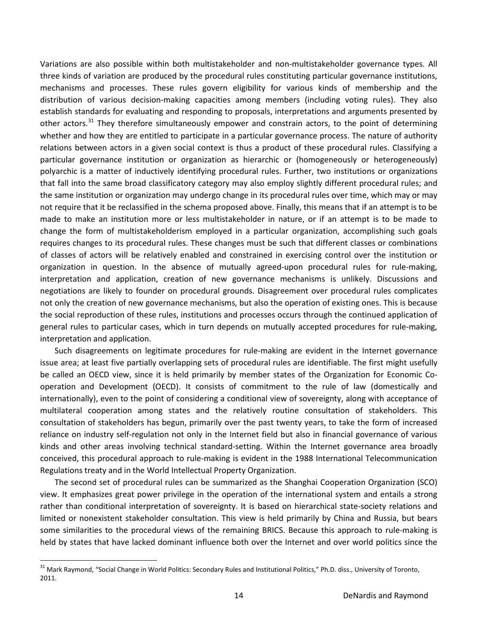Variations are also possible within both multistakeholder and non-multistakeholder governance types. All three kinds of variation are produced by the procedural rules constituting particular governance institutions, mechanisms and processes. These rules govern eligibility for various kinds of membership and the distribution of various decision-making capacities among members (including voting rules). They also establish standards for evaluating and responding to proposals, interpretations and arguments presented by other actors.<sup>[31](#page-13-0)</sup> They therefore simultaneously empower and constrain actors, to the point of determining whether and how they are entitled to participate in a particular governance process. The nature of authority relations between actors in a given social context is thus a product of these procedural rules. Classifying a particular governance institution or organization as hierarchic or (homogeneously or heterogeneously) polyarchic is a matter of inductively identifying procedural rules. Further, two institutions or organizations that fall into the same broad classificatory category may also employ slightly different procedural rules; and the same institution or organization may undergo change in its procedural rules over time, which may or may not require that it be reclassified in the schema proposed above. Finally, this means that if an attempt is to be made to make an institution more or less multistakeholder in nature, or if an attempt is to be made to change the form of multistakeholderism employed in a particular organization, accomplishing such goals requires changes to its procedural rules. These changes must be such that different classes or combinations of classes of actors will be relatively enabled and constrained in exercising control over the institution or organization in question. In the absence of mutually agreed-upon procedural rules for rule-making, interpretation and application, creation of new governance mechanisms is unlikely. Discussions and negotiations are likely to founder on procedural grounds. Disagreement over procedural rules complicates not only the creation of new governance mechanisms, but also the operation of existing ones. This is because the social reproduction of these rules, institutions and processes occurs through the continued application of general rules to particular cases, which in turn depends on mutually accepted procedures for rule-making, interpretation and application.

Such disagreements on legitimate procedures for rule-making are evident in the Internet governance issue area; at least five partially overlapping sets of procedural rules are identifiable. The first might usefully be called an OECD view, since it is held primarily by member states of the Organization for Economic Cooperation and Development (OECD). It consists of commitment to the rule of law (domestically and internationally), even to the point of considering a conditional view of sovereignty, along with acceptance of multilateral cooperation among states and the relatively routine consultation of stakeholders. This consultation of stakeholders has begun, primarily over the past twenty years, to take the form of increased reliance on industry self-regulation not only in the Internet field but also in financial governance of various kinds and other areas involving technical standard-setting. Within the Internet governance area broadly conceived, this procedural approach to rule-making is evident in the 1988 International Telecommunication Regulations treaty and in the World Intellectual Property Organization.

The second set of procedural rules can be summarized as the Shanghai Cooperation Organization (SCO) view. It emphasizes great power privilege in the operation of the international system and entails a strong rather than conditional interpretation of sovereignty. It is based on hierarchical state-society relations and limited or nonexistent stakeholder consultation. This view is held primarily by China and Russia, but bears some similarities to the procedural views of the remaining BRICS. Because this approach to rule-making is held by states that have lacked dominant influence both over the Internet and over world politics since the

<span id="page-13-0"></span><sup>&</sup>lt;sup>31</sup> Mark Raymond, "Social Change in World Politics: Secondary Rules and Institutional Politics," Ph.D. diss., University of Toronto, 2011.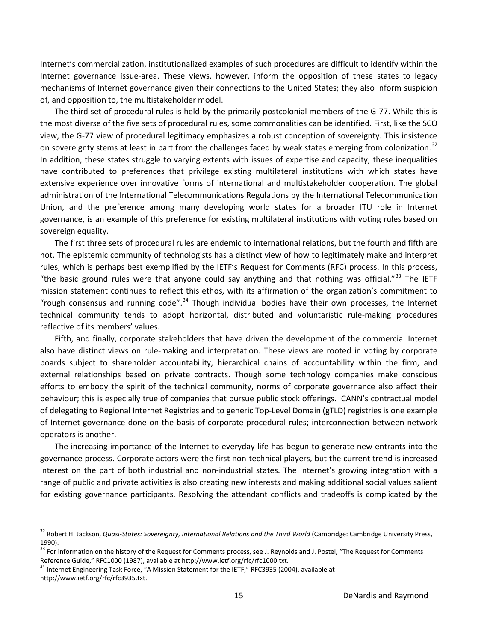Internet's commercialization, institutionalized examples of such procedures are difficult to identify within the Internet governance issue-area. These views, however, inform the opposition of these states to legacy mechanisms of Internet governance given their connections to the United States; they also inform suspicion of, and opposition to, the multistakeholder model.

The third set of procedural rules is held by the primarily postcolonial members of the G-77. While this is the most diverse of the five sets of procedural rules, some commonalities can be identified. First, like the SCO view, the G-77 view of procedural legitimacy emphasizes a robust conception of sovereignty. This insistence on sovereignty stems at least in part from the challenges faced by weak states emerging from colonization.<sup>[32](#page-14-0)</sup> In addition, these states struggle to varying extents with issues of expertise and capacity; these inequalities have contributed to preferences that privilege existing multilateral institutions with which states have extensive experience over innovative forms of international and multistakeholder cooperation. The global administration of the International Telecommunications Regulations by the International Telecommunication Union, and the preference among many developing world states for a broader ITU role in Internet governance, is an example of this preference for existing multilateral institutions with voting rules based on sovereign equality.

The first three sets of procedural rules are endemic to international relations, but the fourth and fifth are not. The epistemic community of technologists has a distinct view of how to legitimately make and interpret rules, which is perhaps best exemplified by the IETF's Request for Comments (RFC) process. In this process, "the basic ground rules were that anyone could say anything and that nothing was official."<sup>[33](#page-14-1)</sup> The IETF mission statement continues to reflect this ethos, with its affirmation of the organization's commitment to "rough consensus and running code".<sup>[34](#page-14-2)</sup> Though individual bodies have their own processes, the Internet technical community tends to adopt horizontal, distributed and voluntaristic rule-making procedures reflective of its members' values.

Fifth, and finally, corporate stakeholders that have driven the development of the commercial Internet also have distinct views on rule-making and interpretation. These views are rooted in voting by corporate boards subject to shareholder accountability, hierarchical chains of accountability within the firm, and external relationships based on private contracts. Though some technology companies make conscious efforts to embody the spirit of the technical community, norms of corporate governance also affect their behaviour; this is especially true of companies that pursue public stock offerings. ICANN's contractual model of delegating to Regional Internet Registries and to generic Top-Level Domain (gTLD) registries is one example of Internet governance done on the basis of corporate procedural rules; interconnection between network operators is another.

The increasing importance of the Internet to everyday life has begun to generate new entrants into the governance process. Corporate actors were the first non-technical players, but the current trend is increased interest on the part of both industrial and non-industrial states. The Internet's growing integration with a range of public and private activities is also creating new interests and making additional social values salient for existing governance participants. Resolving the attendant conflicts and tradeoffs is complicated by the

<span id="page-14-0"></span><sup>&</sup>lt;sup>32</sup> Robert H. Jackson, *Quasi-States: Sovereignty, International Relations and the Third World* (Cambridge: Cambridge University Press, 1990).

<span id="page-14-1"></span><sup>&</sup>lt;sup>33</sup> For information on the history of the Request for Comments process, see J. Reynolds and J. Postel, "The Request for Comments Reference Guide," RFC1000 (1987), available at http://www.ietf.org/rfc/rfc1000.txt.

<span id="page-14-2"></span><sup>&</sup>lt;sup>34</sup> Internet Engineering Task Force, "A Mission Statement for the IETF," RFC3935 (2004), available at http://www.ietf.org/rfc/rfc3935.txt.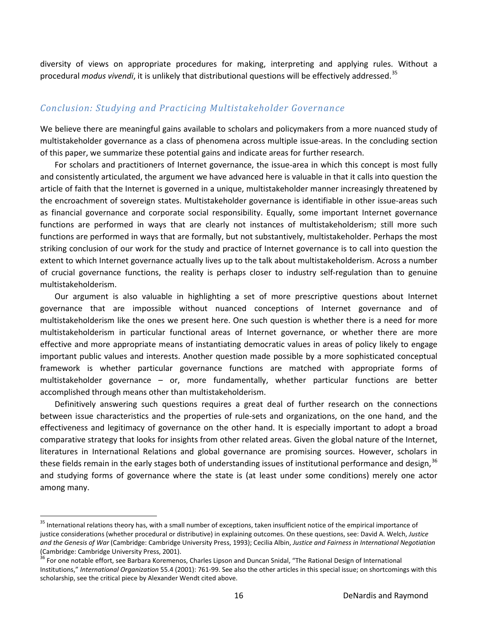diversity of views on appropriate procedures for making, interpreting and applying rules. Without a procedural *modus vivendi*, it is unlikely that distributional questions will be effectively addressed. [35](#page-15-0)

## *Conclusion: Studying and Practicing Multistakeholder Governance*

We believe there are meaningful gains available to scholars and policymakers from a more nuanced study of multistakeholder governance as a class of phenomena across multiple issue-areas. In the concluding section of this paper, we summarize these potential gains and indicate areas for further research.

For scholars and practitioners of Internet governance, the issue-area in which this concept is most fully and consistently articulated, the argument we have advanced here is valuable in that it calls into question the article of faith that the Internet is governed in a unique, multistakeholder manner increasingly threatened by the encroachment of sovereign states. Multistakeholder governance is identifiable in other issue-areas such as financial governance and corporate social responsibility. Equally, some important Internet governance functions are performed in ways that are clearly not instances of multistakeholderism; still more such functions are performed in ways that are formally, but not substantively, multistakeholder. Perhaps the most striking conclusion of our work for the study and practice of Internet governance is to call into question the extent to which Internet governance actually lives up to the talk about multistakeholderism. Across a number of crucial governance functions, the reality is perhaps closer to industry self-regulation than to genuine multistakeholderism.

Our argument is also valuable in highlighting a set of more prescriptive questions about Internet governance that are impossible without nuanced conceptions of Internet governance and of multistakeholderism like the ones we present here. One such question is whether there is a need for more multistakeholderism in particular functional areas of Internet governance, or whether there are more effective and more appropriate means of instantiating democratic values in areas of policy likely to engage important public values and interests. Another question made possible by a more sophisticated conceptual framework is whether particular governance functions are matched with appropriate forms of multistakeholder governance – or, more fundamentally, whether particular functions are better accomplished through means other than multistakeholderism.

Definitively answering such questions requires a great deal of further research on the connections between issue characteristics and the properties of rule-sets and organizations, on the one hand, and the effectiveness and legitimacy of governance on the other hand. It is especially important to adopt a broad comparative strategy that looks for insights from other related areas. Given the global nature of the Internet, literatures in International Relations and global governance are promising sources. However, scholars in these fields remain in the early stages both of understanding issues of institutional performance and design, [36](#page-15-1) and studying forms of governance where the state is (at least under some conditions) merely one actor among many.

<span id="page-15-0"></span><sup>&</sup>lt;sup>35</sup> International relations theory has, with a small number of exceptions, taken insufficient notice of the empirical importance of justice considerations (whether procedural or distributive) in explaining outcomes. On these questions, see: David A. Welch, *Justice and the Genesis of War* (Cambridge: Cambridge University Press, 1993); Cecilia Albin, *Justice and Fairness in International Negotiation* (Cambridge: Cambridge University Press, 2001).

<span id="page-15-1"></span><sup>&</sup>lt;sup>6</sup> For one notable effort, see Barbara Koremenos, Charles Lipson and Duncan Snidal, "The Rational Design of International Institutions," *International Organization* 55.4 (2001): 761-99. See also the other articles in this special issue; on shortcomings with this scholarship, see the critical piece by Alexander Wendt cited above.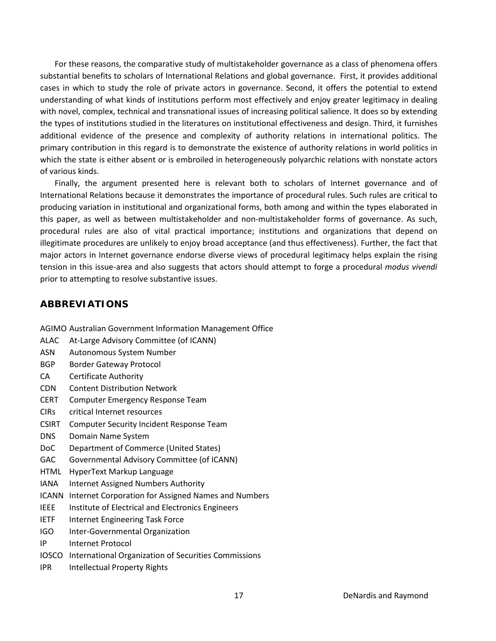For these reasons, the comparative study of multistakeholder governance as a class of phenomena offers substantial benefits to scholars of International Relations and global governance. First, it provides additional cases in which to study the role of private actors in governance. Second, it offers the potential to extend understanding of what kinds of institutions perform most effectively and enjoy greater legitimacy in dealing with novel, complex, technical and transnational issues of increasing political salience. It does so by extending the types of institutions studied in the literatures on institutional effectiveness and design. Third, it furnishes additional evidence of the presence and complexity of authority relations in international politics. The primary contribution in this regard is to demonstrate the existence of authority relations in world politics in which the state is either absent or is embroiled in heterogeneously polyarchic relations with nonstate actors of various kinds.

Finally, the argument presented here is relevant both to scholars of Internet governance and of International Relations because it demonstrates the importance of procedural rules. Such rules are critical to producing variation in institutional and organizational forms, both among and within the types elaborated in this paper, as well as between multistakeholder and non-multistakeholder forms of governance. As such, procedural rules are also of vital practical importance; institutions and organizations that depend on illegitimate procedures are unlikely to enjoy broad acceptance (and thus effectiveness). Further, the fact that major actors in Internet governance endorse diverse views of procedural legitimacy helps explain the rising tension in this issue-area and also suggests that actors should attempt to forge a procedural *modus vivendi* prior to attempting to resolve substantive issues.

#### **ABBREVIATIONS**

- AGIMO Australian Government Information Management Office
- ALAC At-Large Advisory Committee (of ICANN)
- ASN Autonomous System Number
- BGP Border Gateway Protocol
- CA Certificate Authority
- CDN Content Distribution Network
- CERT Computer Emergency Response Team
- CIRs critical Internet resources
- CSIRT Computer Security Incident Response Team
- DNS Domain Name System
- DoC Department of Commerce (United States)
- GAC Governmental Advisory Committee (of ICANN)
- HTML HyperText Markup Language
- IANA Internet Assigned Numbers Authority
- ICANN Internet Corporation for Assigned Names and Numbers
- IEEE Institute of Electrical and Electronics Engineers
- IETF Internet Engineering Task Force
- IGO Inter-Governmental Organization
- IP Internet Protocol
- IOSCO International Organization of Securities Commissions
- IPR Intellectual Property Rights